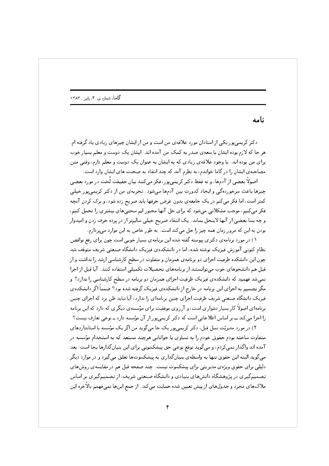نامه

7) +2# . ; .:"K V ; J0( J0 .+-] - 0 2( ; >P ->A & 2& ? -4 6H0( ! V 7 0 J0 !A& + - .+( V );^ +& @ : J20 >2 - )- 6H0( ! + V + +& . ; .+-] @ 7 J0 . 7( - V .: \* + ,2 K +& 0 )Q + ) ? 0 - - V .+5/0

>d - 0 - <Df ,,5 &>0 P# - >A & 2& h,# + :) ; >d ^3 >H? ->A & 2& ; J0 .+ OL 7
>0 :) J p- & O >- ?( R :"K +} & o" 
 ; ` #5 ~ .+0@ ! - 6&>0 P# 0 ( 2A& 6& FA\*L - . 2V .:>2<( 6 -O0  F5 . +& 
>0 >L]PV0 N@0 6&>0 P# ل نے اس اور اس نے ان کے ان کے ان کا ان کے اس کے ان کا ان کا ان کا ان کا ان کا ان کا ان کا ان کا ان کا ان کا ان 7);>0 -0 J + j? - y + 7( &>0 F5 - "K +A: 0; - 0 +& J +

k- #- . K ( >? -4 .+0 J +2% +2( .2& .+0 - 0 - Ca =-20 = 
 >2 ZV ! "# . PV - 0 +2
 ! "# S; 0 >& )Q ; - - >(
-& `( - p%20 0"A: .+0 .@ #B PV J K @ ; F- 7 & %2( >HAPL p]/\*L .:+0 ; 24L>0 ? .:OV 6: F- I- - >(
-& `( - +0 0"A: .@ #B ! "# . PV +& A# >A محتر تصنيفهم به اجراي اين تركمك در حازج از دانشگاهاي ميريافت تركمه شده تود. صنعت اين دانشگاهاي JK .@ +& JB - - .+0 JK .@ #B = 
 >2 ZV ! "# برنامه ی اخترو اما در بسیار دستاری است، و از رووی موسیحا برای موسسه ی دیمری که دارد که این برنامه ل کر ای کا این کا است کا است که در است که در این کا است که در این کا است که در این کا است که در این که در این

.:- 2( +4(T 0 ! J0 >0 @ ! - >A & 2& F- F4 0 - 0 - Cc - +4(T 0 ) <2( + +& 240 K: > @ .4L + - )? ,5 ) +2?( p % 2 0 \_( O :-Y J . >L4PV \5 > -L >0 )&>A -Y 0  $\overline{p}$  ,  $\overline{p}$  ,  $\overline{p}$  ,  $\overline{p}$  ,  $\overline{p}$  ,  $\overline{p}$  ,  $\overline{p}$  ,  $\overline{p}$  ,  $\overline{p}$  ,  $\overline{p}$  ,  $\overline{p}$  ,  $\overline{p}$  ,  $\overline{p}$  ,  $\overline{p}$  ,  $\overline{p}$  ,  $\overline{p}$  ,  $\overline{p}$  ,  $\overline{p}$  ,  $\overline{p}$  ,  $\overline{p}$  , .:S - .+4 ,0 - 6: F- +\*% K 74 p4PV . >2 0 .g ,5 . >HD ( . 6 A/L ; = 
 >2 ZV . . : ZV:g - . 6 A/L ملاکھای مجرد و جدولھای از پیش تعیین شدہ حمایت می کند. از جمع اینھا نمیفهمم بالاخرہ اپن